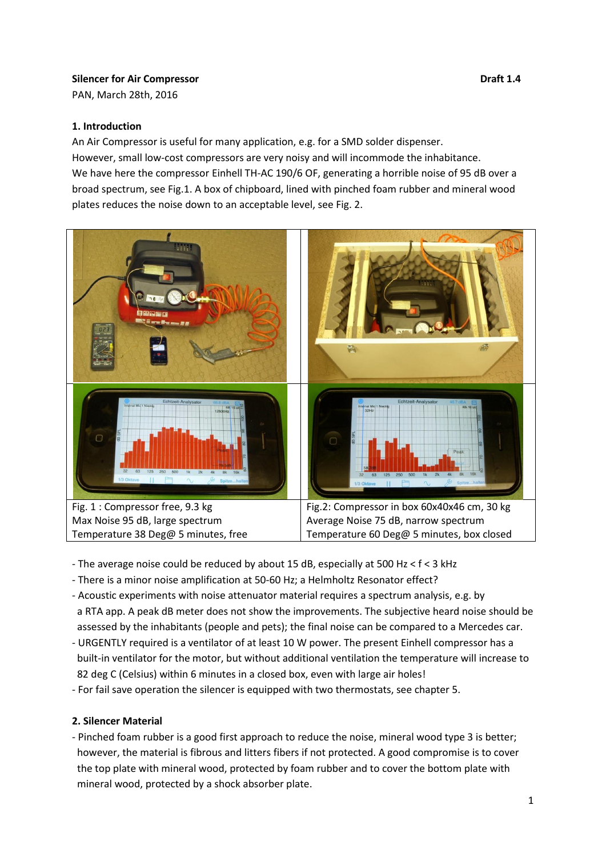## **Silencer for Air Compressor Draft 1.4**

PAN, March 28th, 2016

### **1. Introduction**

An Air Compressor is useful for many application, e.g. for a SMD solder dispenser. However, small low-cost compressors are very noisy and will incommode the inhabitance. We have here the compressor Einhell TH-AC 190/6 OF, generating a horrible noise of 95 dB over a broad spectrum, see Fig.1. A box of chipboard, lined with pinched foam rubber and mineral wood plates reduces the noise down to an acceptable level, see Fig. 2.



- The average noise could be reduced by about 15 dB, especially at 500 Hz < f < 3 kHz
- There is a minor noise amplification at 50-60 Hz; a Helmholtz Resonator effect?
- Acoustic experiments with noise attenuator material requires a spectrum analysis, e.g. by a RTA app. A peak dB meter does not show the improvements. The subjective heard noise should be assessed by the inhabitants (people and pets); the final noise can be compared to a Mercedes car.
- URGENTLY required is a ventilator of at least 10 W power. The present Einhell compressor has a built-in ventilator for the motor, but without additional ventilation the temperature will increase to 82 deg C (Celsius) within 6 minutes in a closed box, even with large air holes!
- For fail save operation the silencer is equipped with two thermostats, see chapter 5.

## **2. Silencer Material**

- Pinched foam rubber is a good first approach to reduce the noise, mineral wood type 3 is better; however, the material is fibrous and litters fibers if not protected. A good compromise is to cover the top plate with mineral wood, protected by foam rubber and to cover the bottom plate with mineral wood, protected by a shock absorber plate.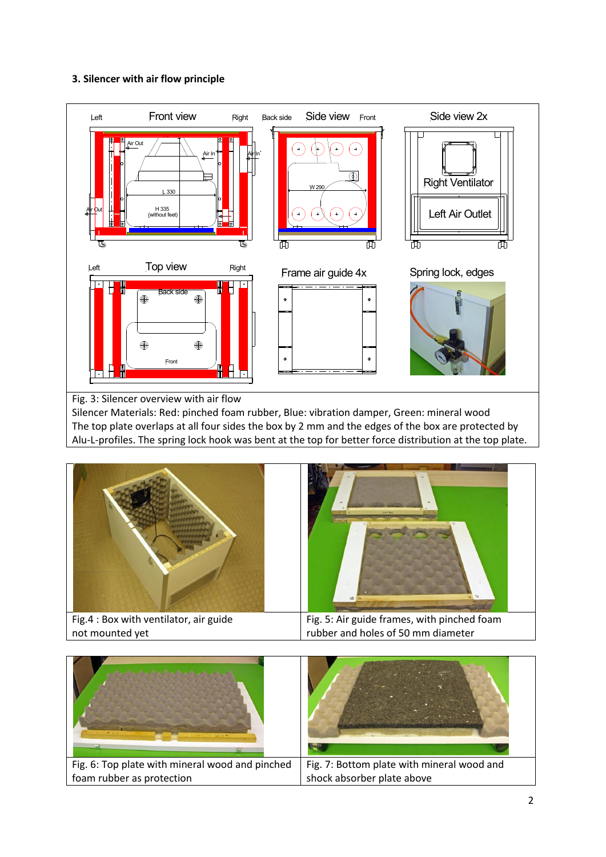### **3. Silencer with air flow principle**



Fig. 3: Silencer overview with air flow

Silencer Materials: Red: pinched foam rubber, Blue: vibration damper, Green: mineral wood The top plate overlaps at all four sides the box by 2 mm and the edges of the box are protected by Alu-L-profiles. The spring lock hook was bent at the top for better force distribution at the top plate.



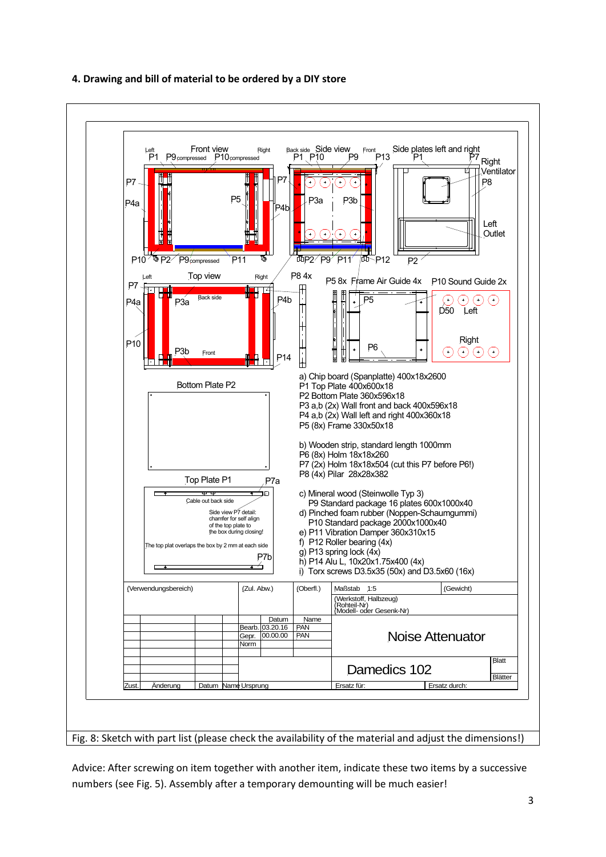

# **4. Drawing and bill of material to be ordered by a DIY store**

Advice: After screwing on item together with another item, indicate these two items by a successive numbers (see Fig. 5). Assembly after a temporary demounting will be much easier!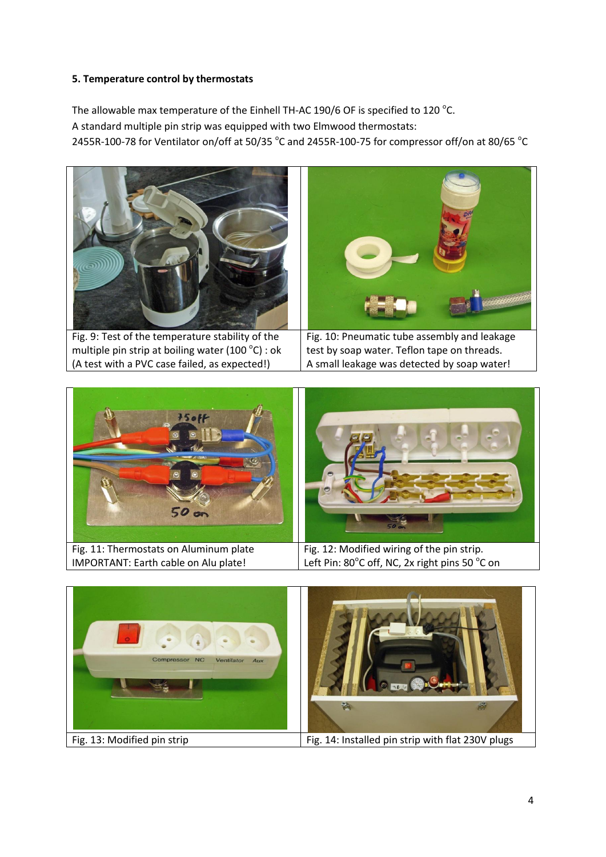## **5. Temperature control by thermostats**

The allowable max temperature of the Einhell TH-AC 190/6 OF is specified to 120  $^{\circ}$ C. A standard multiple pin strip was equipped with two Elmwood thermostats: 2455R-100-78 for Ventilator on/off at 50/35  $^{\circ}$ C and 2455R-100-75 for compressor off/on at 80/65  $^{\circ}$ C







4